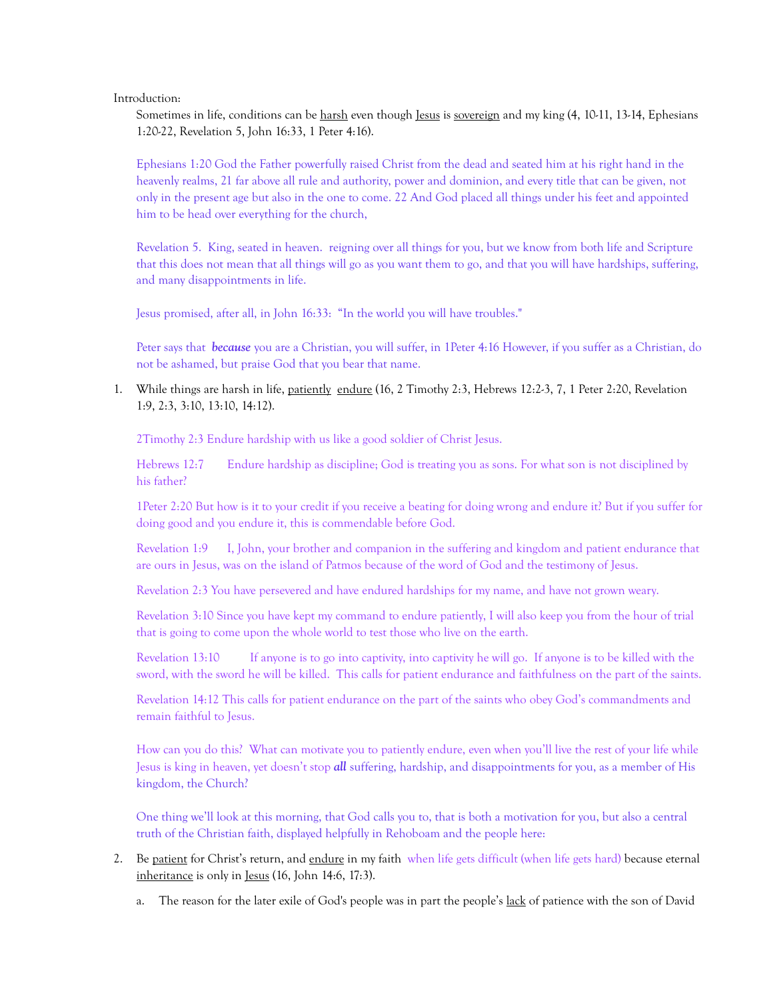Introduction:

Sometimes in life, conditions can be harsh even though Jesus is sovereign and my king (4, 10-11, 13-14, Ephesians 1:20-22, Revelation 5, John 16:33, 1 Peter 4:16).

Ephesians 1:20 God the Father powerfully raised Christ from the dead and seated him at his right hand in the heavenly realms, 21 far above all rule and authority, power and dominion, and every title that can be given, not only in the present age but also in the one to come. 22 And God placed all things under his feet and appointed him to be head over everything for the church,

Revelation 5. King, seated in heaven. reigning over all things for you, but we know from both life and Scripture that this does not mean that all things will go as you want them to go, and that you will have hardships, suffering, and many disappointments in life.

Jesus promised, after all, in John 16:33: "In the world you will have troubles."

Peter says that *because* you are a Christian, you will suffer, in 1Peter 4:16 However, if you suffer as a Christian, do not be ashamed, but praise God that you bear that name.

1. While things are harsh in life, patiently endure (16, 2 Timothy 2:3, Hebrews 12:2-3, 7, 1 Peter 2:20, Revelation 1:9, 2:3, 3:10, 13:10, 14:12).

2Timothy 2:3 Endure hardship with us like a good soldier of Christ Jesus.

Hebrews 12:7 Endure hardship as discipline; God is treating you as sons. For what son is not disciplined by his father?

1Peter 2:20 But how is it to your credit if you receive a beating for doing wrong and endure it? But if you suffer for doing good and you endure it, this is commendable before God.

Revelation 1:9 I, John, your brother and companion in the suffering and kingdom and patient endurance that are ours in Jesus, was on the island of Patmos because of the word of God and the testimony of Jesus.

Revelation 2:3 You have persevered and have endured hardships for my name, and have not grown weary.

Revelation 3:10 Since you have kept my command to endure patiently, I will also keep you from the hour of trial that is going to come upon the whole world to test those who live on the earth.

Revelation 13:10 If anyone is to go into captivity, into captivity he will go. If anyone is to be killed with the sword, with the sword he will be killed. This calls for patient endurance and faithfulness on the part of the saints.

Revelation 14:12 This calls for patient endurance on the part of the saints who obey God's commandments and remain faithful to Jesus.

How can you do this? What can motivate you to patiently endure, even when you'll live the rest of your life while Jesus is king in heaven, yet doesn't stop **all** suffering, hardship, and disappointments for you, as a member of His kingdom, the Church?

One thing we'll look at this morning, that God calls you to, that is both a motivation for you, but also a central truth of the Christian faith, displayed helpfully in Rehoboam and the people here:

- 2. Be patient for Christ's return, and endure in my faith when life gets difficult (when life gets hard) because eternal inheritance is only in Jesus (16, John 14:6, 17:3).
	- a. The reason for the later exile of God's people was in part the people's lack of patience with the son of David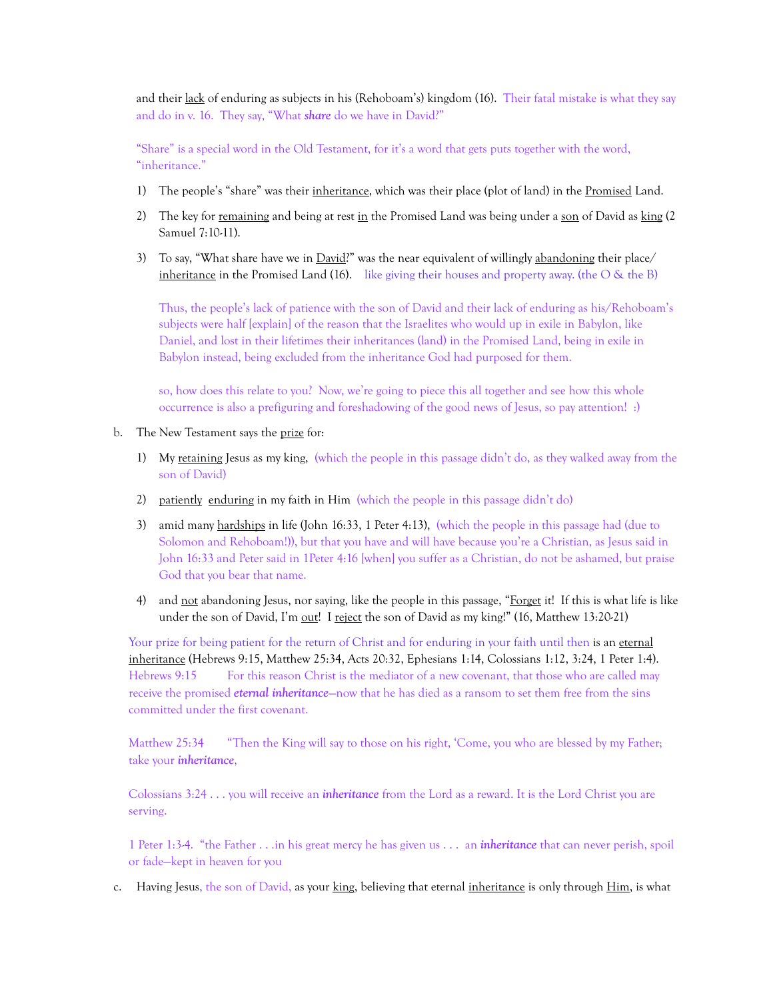and their lack of enduring as subjects in his (Rehoboam's) kingdom (16). Their fatal mistake is what they say and do in v. 16. They say, "What *share* do we have in David?"

"Share" is a special word in the Old Testament, for it's a word that gets puts together with the word, "inheritance."

- 1) The people's "share" was their inheritance, which was their place (plot of land) in the Promised Land.
- 2) The key for remaining and being at rest in the Promised Land was being under a son of David as king (2) Samuel 7:10-11).
- 3) To say, "What share have we in David?" was the near equivalent of willingly abandoning their place/ inheritance in the Promised Land  $(16)$ . like giving their houses and property away. (the O & the B)

Thus, the people's lack of patience with the son of David and their lack of enduring as his/Rehoboam's subjects were half [explain] of the reason that the Israelites who would up in exile in Babylon, like Daniel, and lost in their lifetimes their inheritances (land) in the Promised Land, being in exile in Babylon instead, being excluded from the inheritance God had purposed for them.

so, how does this relate to you? Now, we're going to piece this all together and see how this whole occurrence is also a prefiguring and foreshadowing of the good news of Jesus, so pay attention! :)

- b. The New Testament says the prize for:
	- 1) My retaining Jesus as my king, (which the people in this passage didn't do, as they walked away from the son of David)
	- 2) patiently enduring in my faith in Him (which the people in this passage didn't do)
	- 3) amid many hardships in life (John 16:33, 1 Peter 4:13), (which the people in this passage had (due to Solomon and Rehoboam!)), but that you have and will have because you're a Christian, as Jesus said in John 16:33 and Peter said in 1Peter 4:16 [when] you suffer as a Christian, do not be ashamed, but praise God that you bear that name.
	- 4) and <u>not</u> abandoning Jesus, nor saying, like the people in this passage, "Forget it! If this is what life is like under the son of David, I'm out! I reject the son of David as my king!" (16, Matthew 13:20-21)

Your prize for being patient for the return of Christ and for enduring in your faith until then is an eternal inheritance (Hebrews 9:15, Matthew 25:34, Acts 20:32, Ephesians 1:14, Colossians 1:12, 3:24, 1 Peter 1:4). Hebrews 9:15 For this reason Christ is the mediator of a new covenant, that those who are called may receive the promised *eternal inheritance*-now that he has died as a ransom to set them free from the sins committed under the first covenant.

Matthew 25:34 "Then the King will say to those on his right, 'Come, you who are blessed by my Father; take your *inheritance*,

Colossians 3:24 . . . you will receive an *inheritance* from the Lord as a reward. It is the Lord Christ you are serving.

1 Peter 1:3-4. "the Father . . .in his great mercy he has given us . . . an *inheritance* that can never perish, spoil or fade—kept in heaven for you

c. Having Jesus, the son of David, as your king, believing that eternal inheritance is only through Him, is what